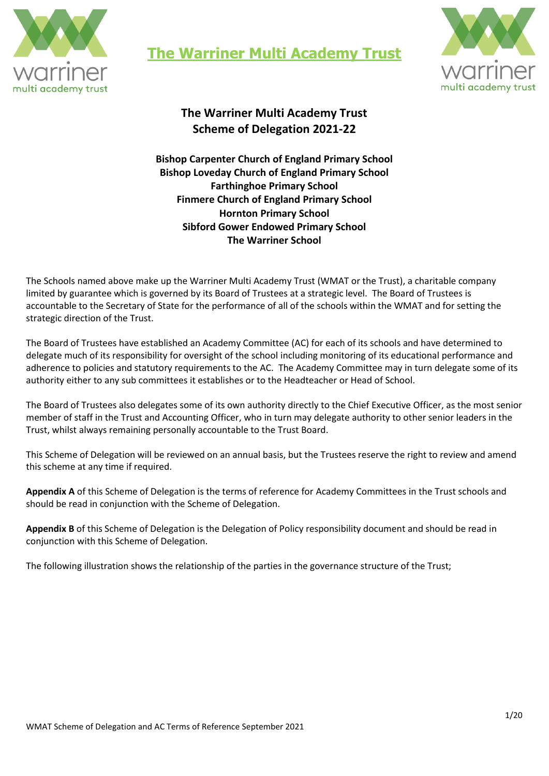

**The Warriner Multi Academy Trust**



# **The Warriner Multi Academy Trust Scheme of Delegation 2021-22**

**Bishop Carpenter Church of England Primary School Bishop Loveday Church of England Primary School Farthinghoe Primary School Finmere Church of England Primary School Hornton Primary School Sibford Gower Endowed Primary School The Warriner School** 

The Schools named above make up the Warriner Multi Academy Trust (WMAT or the Trust), a charitable company limited by guarantee which is governed by its Board of Trustees at a strategic level. The Board of Trustees is accountable to the Secretary of State for the performance of all of the schools within the WMAT and for setting the strategic direction of the Trust.

The Board of Trustees have established an Academy Committee (AC) for each of its schools and have determined to delegate much of its responsibility for oversight of the school including monitoring of its educational performance and adherence to policies and statutory requirements to the AC. The Academy Committee may in turn delegate some of its authority either to any sub committees it establishes or to the Headteacher or Head of School.

The Board of Trustees also delegates some of its own authority directly to the Chief Executive Officer, as the most senior member of staff in the Trust and Accounting Officer, who in turn may delegate authority to other senior leaders in the Trust, whilst always remaining personally accountable to the Trust Board.

This Scheme of Delegation will be reviewed on an annual basis, but the Trustees reserve the right to review and amend this scheme at any time if required.

**Appendix A** of this Scheme of Delegation is the terms of reference for Academy Committees in the Trust schools and should be read in conjunction with the Scheme of Delegation.

**Appendix B** of this Scheme of Delegation is the Delegation of Policy responsibility document and should be read in conjunction with this Scheme of Delegation.

The following illustration shows the relationship of the parties in the governance structure of the Trust;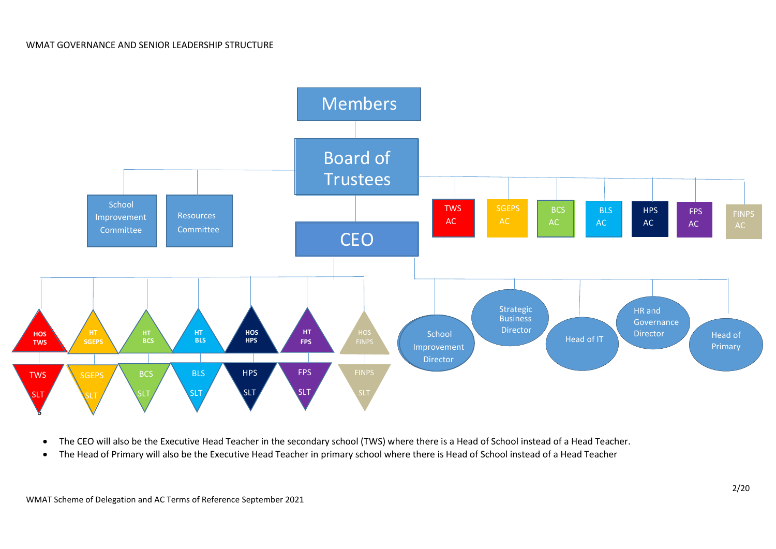

- The CEO will also be the Executive Head Teacher in the secondary school (TWS) where there is a Head of School instead of a Head Teacher.
- The Head of Primary will also be the Executive Head Teacher in primary school where there is Head of School instead of a Head Teacher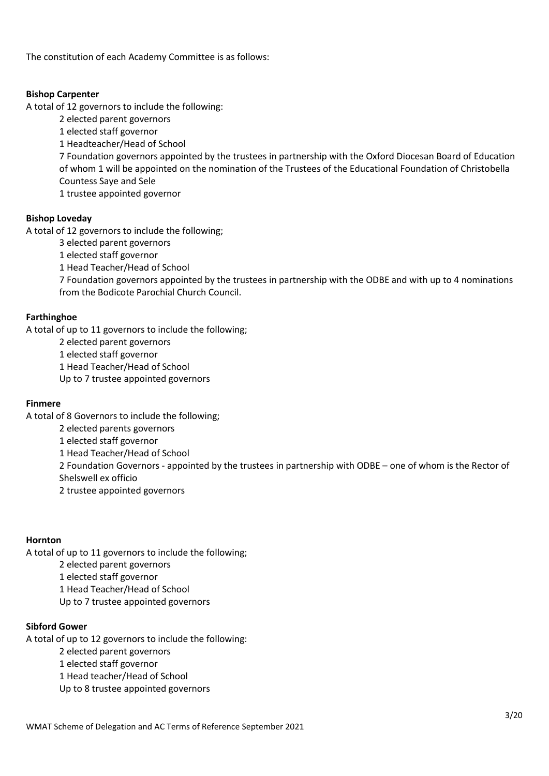The constitution of each Academy Committee is as follows:

## **Bishop Carpenter**

A total of 12 governors to include the following:

- 2 elected parent governors
- 1 elected staff governor
- 1 Headteacher/Head of School

7 Foundation governors appointed by the trustees in partnership with the Oxford Diocesan Board of Education of whom 1 will be appointed on the nomination of the Trustees of the Educational Foundation of Christobella Countess Saye and Sele

1 trustee appointed governor

# **Bishop Loveday**

A total of 12 governors to include the following;

3 elected parent governors

1 elected staff governor

1 Head Teacher/Head of School

7 Foundation governors appointed by the trustees in partnership with the ODBE and with up to 4 nominations from the Bodicote Parochial Church Council.

## **Farthinghoe**

A total of up to 11 governors to include the following;

2 elected parent governors

1 elected staff governor

1 Head Teacher/Head of School

Up to 7 trustee appointed governors

# **Finmere**

A total of 8 Governors to include the following;

2 elected parents governors

1 elected staff governor

1 Head Teacher/Head of School

2 Foundation Governors - appointed by the trustees in partnership with ODBE – one of whom is the Rector of Shelswell ex officio

2 trustee appointed governors

# **Hornton**

A total of up to 11 governors to include the following;

2 elected parent governors

1 elected staff governor

1 Head Teacher/Head of School

Up to 7 trustee appointed governors

# **Sibford Gower**

A total of up to 12 governors to include the following:

2 elected parent governors

1 elected staff governor

1 Head teacher/Head of School

Up to 8 trustee appointed governors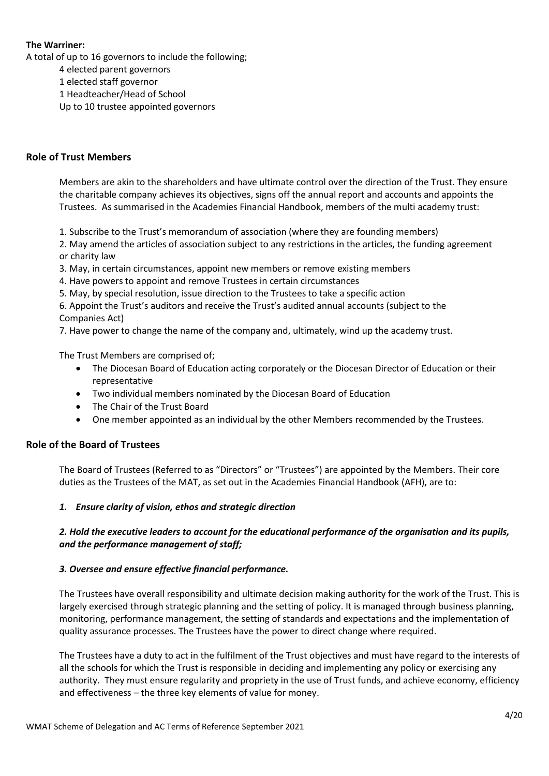## **The Warriner:**

A total of up to 16 governors to include the following;

4 elected parent governors

1 elected staff governor

1 Headteacher/Head of School

Up to 10 trustee appointed governors

# **Role of Trust Members**

Members are akin to the shareholders and have ultimate control over the direction of the Trust. They ensure the charitable company achieves its objectives, signs off the annual report and accounts and appoints the Trustees. As summarised in the Academies Financial Handbook, members of the multi academy trust:

1. Subscribe to the Trust's memorandum of association (where they are founding members)

2. May amend the articles of association subject to any restrictions in the articles, the funding agreement or charity law

3. May, in certain circumstances, appoint new members or remove existing members

4. Have powers to appoint and remove Trustees in certain circumstances

5. May, by special resolution, issue direction to the Trustees to take a specific action

6. Appoint the Trust's auditors and receive the Trust's audited annual accounts (subject to the Companies Act)

7. Have power to change the name of the company and, ultimately, wind up the academy trust.

The Trust Members are comprised of;

- The Diocesan Board of Education acting corporately or the Diocesan Director of Education or their representative
- Two individual members nominated by the Diocesan Board of Education
- The Chair of the Trust Board
- One member appointed as an individual by the other Members recommended by the Trustees.

# **Role of the Board of Trustees**

The Board of Trustees (Referred to as "Directors" or "Trustees") are appointed by the Members. Their core duties as the Trustees of the MAT, as set out in the Academies Financial Handbook (AFH), are to:

#### *1. Ensure clarity of vision, ethos and strategic direction*

# *2. Hold the executive leaders to account for the educational performance of the organisation and its pupils, and the performance management of staff;*

#### *3. Oversee and ensure effective financial performance.*

The Trustees have overall responsibility and ultimate decision making authority for the work of the Trust. This is largely exercised through strategic planning and the setting of policy. It is managed through business planning, monitoring, performance management, the setting of standards and expectations and the implementation of quality assurance processes. The Trustees have the power to direct change where required.

The Trustees have a duty to act in the fulfilment of the Trust objectives and must have regard to the interests of all the schools for which the Trust is responsible in deciding and implementing any policy or exercising any authority. They must ensure regularity and propriety in the use of Trust funds, and achieve economy, efficiency and effectiveness – the three key elements of value for money.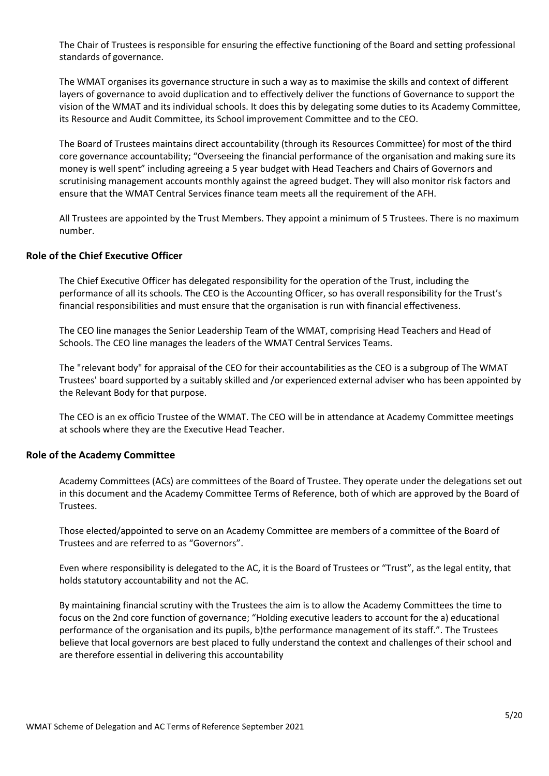The Chair of Trustees is responsible for ensuring the effective functioning of the Board and setting professional standards of governance.

The WMAT organises its governance structure in such a way as to maximise the skills and context of different layers of governance to avoid duplication and to effectively deliver the functions of Governance to support the vision of the WMAT and its individual schools. It does this by delegating some duties to its Academy Committee, its Resource and Audit Committee, its School improvement Committee and to the CEO.

The Board of Trustees maintains direct accountability (through its Resources Committee) for most of the third core governance accountability; "Overseeing the financial performance of the organisation and making sure its money is well spent" including agreeing a 5 year budget with Head Teachers and Chairs of Governors and scrutinising management accounts monthly against the agreed budget. They will also monitor risk factors and ensure that the WMAT Central Services finance team meets all the requirement of the AFH.

All Trustees are appointed by the Trust Members. They appoint a minimum of 5 Trustees. There is no maximum number.

## **Role of the Chief Executive Officer**

The Chief Executive Officer has delegated responsibility for the operation of the Trust, including the performance of all its schools. The CEO is the Accounting Officer, so has overall responsibility for the Trust's financial responsibilities and must ensure that the organisation is run with financial effectiveness.

The CEO line manages the Senior Leadership Team of the WMAT, comprising Head Teachers and Head of Schools. The CEO line manages the leaders of the WMAT Central Services Teams.

The "relevant body" for appraisal of the CEO for their accountabilities as the CEO is a subgroup of The WMAT Trustees' board supported by a suitably skilled and /or experienced external adviser who has been appointed by the Relevant Body for that purpose.

The CEO is an ex officio Trustee of the WMAT. The CEO will be in attendance at Academy Committee meetings at schools where they are the Executive Head Teacher.

#### **Role of the Academy Committee**

Academy Committees (ACs) are committees of the Board of Trustee. They operate under the delegations set out in this document and the Academy Committee Terms of Reference, both of which are approved by the Board of Trustees.

Those elected/appointed to serve on an Academy Committee are members of a committee of the Board of Trustees and are referred to as "Governors".

Even where responsibility is delegated to the AC, it is the Board of Trustees or "Trust", as the legal entity, that holds statutory accountability and not the AC.

By maintaining financial scrutiny with the Trustees the aim is to allow the Academy Committees the time to focus on the 2nd core function of governance; "Holding executive leaders to account for the a) educational performance of the organisation and its pupils, b)the performance management of its staff.". The Trustees believe that local governors are best placed to fully understand the context and challenges of their school and are therefore essential in delivering this accountability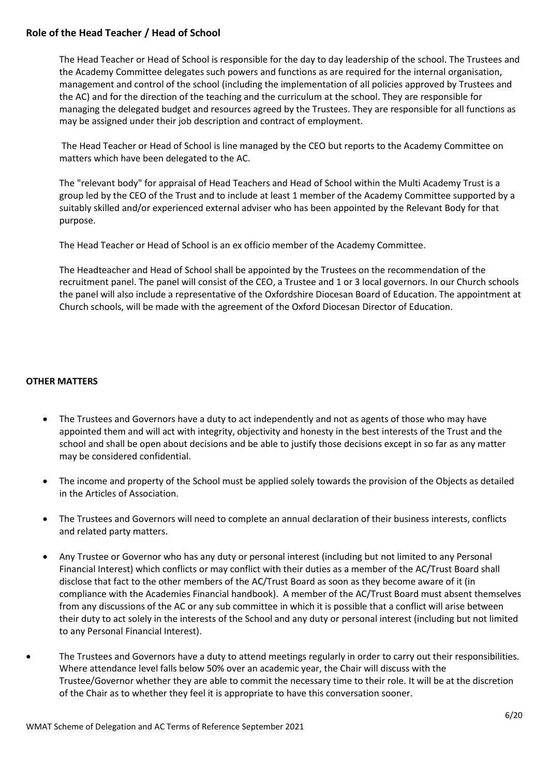## **Role of the Head Teacher / Head of School**

The Head Teacher or Head of School is responsible for the day to day leadership of the school. The Trustees and the Academy Committee delegates such powers and functions as are required for the internal organisation, management and control of the school (including the implementation of all policies approved by Trustees and the AC) and for the direction of the teaching and the curriculum at the school. They are responsible for managing the delegated budget and resources agreed by the Trustees. They are responsible for all functions as may be assigned under their job description and contract of employment.

The Head Teacher or Head of School is line managed by the CEO but reports to the Academy Committee on matters which have been delegated to the AC.

The "relevant body" for appraisal of Head Teachers and Head of School within the Multi Academy Trust is a group led by the CEO of the Trust and to include at least 1 member of the Academy Committee supported by a suitably skilled and/or experienced external adviser who has been appointed by the Relevant Body for that purpose.

The Head Teacher or Head of School is an ex officio member of the Academy Committee.

The Headteacher and Head of School shall be appointed by the Trustees on the recommendation of the recruitment panel. The panel will consist of the CEO, a Trustee and 1 or 3 local governors. In our Church schools the panel will also include a representative of the Oxfordshire Diocesan Board of Education. The appointment at Church schools, will be made with the agreement of the Oxford Diocesan Director of Education.

## **OTHER MATTERS**

- The Trustees and Governors have a duty to act independently and not as agents of those who may have appointed them and will act with integrity, objectivity and honesty in the best interests of the Trust and the school and shall be open about decisions and be able to justify those decisions except in so far as any matter may be considered confidential.
- The income and property of the School must be applied solely towards the provision of the Objects as detailed in the Articles of Association.
- The Trustees and Governors will need to complete an annual declaration of their business interests, conflicts and related party matters.
- Any Trustee or Governor who has any duty or personal interest (including but not limited to any Personal Financial Interest) which conflicts or may conflict with their duties as a member of the AC/Trust Board shall disclose that fact to the other members of the AC/Trust Board as soon as they become aware of it (in compliance with the Academies Financial handbook). A member of the AC/Trust Board must absent themselves from any discussions of the AC or any sub committee in which it is possible that a conflict will arise between their duty to act solely in the interests of the School and any duty or personal interest (including but not limited to any Personal Financial Interest).
- The Trustees and Governors have a duty to attend meetings regularly in order to carry out their responsibilities. Where attendance level falls below 50% over an academic year, the Chair will discuss with the Trustee/Governor whether they are able to commit the necessary time to their role. It will be at the discretion of the Chair as to whether they feel it is appropriate to have this conversation sooner.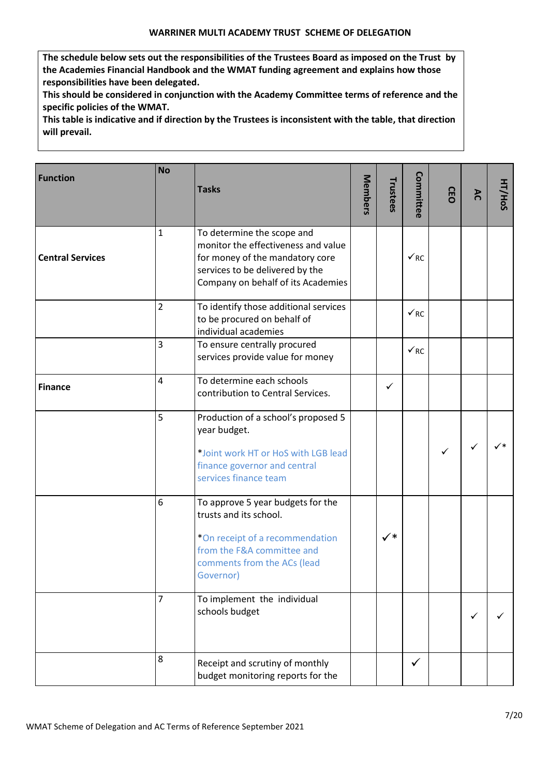**The schedule below sets out the responsibilities of the Trustees Board as imposed on the Trust by the Academies Financial Handbook and the WMAT funding agreement and explains how those responsibilities have been delegated.**

**This should be considered in conjunction with the Academy Committee terms of reference and the specific policies of the WMAT.**

**This table is indicative and if direction by the Trustees is inconsistent with the table, that direction will prevail.**

| <b>Function</b>         | <b>No</b>      | <b>Tasks</b>                                                                                                                                                                  | <b>Members</b> | Trustees       | Committee             | CEO | ΆC | HT/HoS |
|-------------------------|----------------|-------------------------------------------------------------------------------------------------------------------------------------------------------------------------------|----------------|----------------|-----------------------|-----|----|--------|
| <b>Central Services</b> | $\mathbf{1}$   | To determine the scope and<br>monitor the effectiveness and value<br>for money of the mandatory core<br>services to be delivered by the<br>Company on behalf of its Academies |                |                | $\checkmark_{\rm RC}$ |     |    |        |
|                         | $\overline{2}$ | To identify those additional services<br>to be procured on behalf of<br>individual academies                                                                                  |                |                | $\sqrt{RC}$           |     |    |        |
|                         | 3              | To ensure centrally procured<br>services provide value for money                                                                                                              |                |                | $\sqrt{RC}$           |     |    |        |
| <b>Finance</b>          | $\overline{4}$ | To determine each schools<br>contribution to Central Services.                                                                                                                |                | ✓              |                       |     |    |        |
|                         | 5              | Production of a school's proposed 5<br>year budget.<br>*Joint work HT or HoS with LGB lead<br>finance governor and central<br>services finance team                           |                |                |                       | ✓   | ✓  |        |
|                         | 6              | To approve 5 year budgets for the<br>trusts and its school.<br>*On receipt of a recommendation<br>from the F&A committee and<br>comments from the ACs (lead<br>Governor)      |                | $\checkmark^*$ |                       |     |    |        |
|                         | 7              | To implement the individual<br>schools budget                                                                                                                                 |                |                |                       |     | ✓  |        |
|                         | 8              | Receipt and scrutiny of monthly<br>budget monitoring reports for the                                                                                                          |                |                | $\checkmark$          |     |    |        |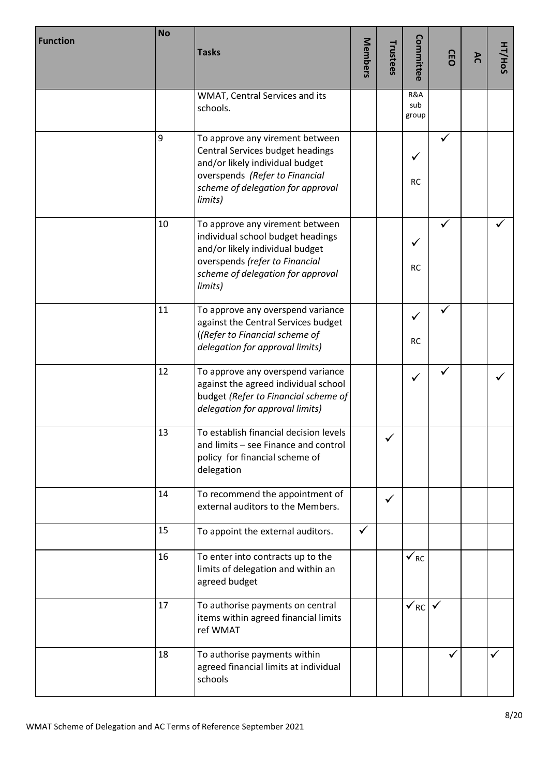| <b>Function</b> | <b>No</b> | <b>Tasks</b>                                                                                                                                                                              |              | Trustees | Committee             | GEO          | λČ | HT/HoS |
|-----------------|-----------|-------------------------------------------------------------------------------------------------------------------------------------------------------------------------------------------|--------------|----------|-----------------------|--------------|----|--------|
|                 |           | WMAT, Central Services and its<br>schools.                                                                                                                                                |              |          | R&A<br>sub<br>group   |              |    |        |
|                 | 9         | To approve any virement between<br>Central Services budget headings<br>and/or likely individual budget<br>overspends (Refer to Financial<br>scheme of delegation for approval<br>limits)  |              |          | <b>RC</b>             |              |    |        |
|                 | 10        | To approve any virement between<br>individual school budget headings<br>and/or likely individual budget<br>overspends (refer to Financial<br>scheme of delegation for approval<br>limits) |              |          | <b>RC</b>             | $\checkmark$ |    |        |
|                 | 11        | To approve any overspend variance<br>against the Central Services budget<br>((Refer to Financial scheme of<br>delegation for approval limits)                                             |              |          | ✓<br><b>RC</b>        |              |    |        |
|                 | 12        | To approve any overspend variance<br>against the agreed individual school<br>budget (Refer to Financial scheme of<br>delegation for approval limits)                                      |              |          | $\checkmark$          |              |    |        |
|                 | 13        | To establish financial decision levels<br>and limits - see Finance and control<br>policy for financial scheme of<br>delegation                                                            |              |          |                       |              |    |        |
|                 | 14        | To recommend the appointment of<br>external auditors to the Members.                                                                                                                      |              | ✓        |                       |              |    |        |
|                 | 15        | To appoint the external auditors.                                                                                                                                                         | $\checkmark$ |          |                       |              |    |        |
|                 | 16        | To enter into contracts up to the<br>limits of delegation and within an<br>agreed budget                                                                                                  |              |          | $\checkmark$ RC       |              |    |        |
|                 | 17        | To authorise payments on central<br>items within agreed financial limits<br>ref WMAT                                                                                                      |              |          | $\checkmark_{\rm RC}$ | $\checkmark$ |    |        |
|                 | 18        | To authorise payments within<br>agreed financial limits at individual<br>schools                                                                                                          |              |          |                       |              |    |        |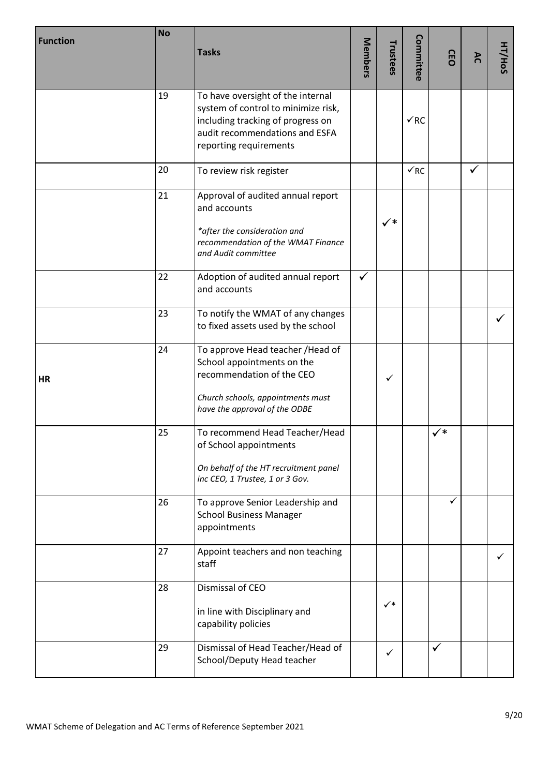| <b>Function</b> | <b>No</b> | <b>Tasks</b>                                                                                                                                                              | Members      | Trustees       | Committee   | <b>GEO</b>     | ΆC | HT/HoS |
|-----------------|-----------|---------------------------------------------------------------------------------------------------------------------------------------------------------------------------|--------------|----------------|-------------|----------------|----|--------|
|                 | 19        | To have oversight of the internal<br>system of control to minimize risk,<br>including tracking of progress on<br>audit recommendations and ESFA<br>reporting requirements |              |                | $\sqrt{RC}$ |                |    |        |
|                 | 20        | To review risk register                                                                                                                                                   |              |                | $\sqrt{RC}$ |                | ✓  |        |
|                 | 21        | Approval of audited annual report<br>and accounts<br>*after the consideration and<br>recommendation of the WMAT Finance<br>and Audit committee                            |              | $\checkmark^*$ |             |                |    |        |
|                 | 22        | Adoption of audited annual report<br>and accounts                                                                                                                         | $\checkmark$ |                |             |                |    |        |
|                 | 23        | To notify the WMAT of any changes<br>to fixed assets used by the school                                                                                                   |              |                |             |                |    |        |
| <b>HR</b>       | 24        | To approve Head teacher / Head of<br>School appointments on the<br>recommendation of the CEO<br>Church schools, appointments must<br>have the approval of the ODBE        |              | $\checkmark$   |             |                |    |        |
|                 | 25        | To recommend Head Teacher/Head<br>of School appointments<br>On behalf of the HT recruitment panel<br>inc CEO, 1 Trustee, 1 or 3 Gov.                                      |              |                |             | $\checkmark^*$ |    |        |
|                 | 26        | To approve Senior Leadership and<br><b>School Business Manager</b><br>appointments                                                                                        |              |                |             | ✓              |    |        |
|                 | 27        | Appoint teachers and non teaching<br>staff                                                                                                                                |              |                |             |                |    |        |
|                 | 28        | Dismissal of CEO<br>in line with Disciplinary and<br>capability policies                                                                                                  |              | $\checkmark^*$ |             |                |    |        |
|                 | 29        | Dismissal of Head Teacher/Head of<br>School/Deputy Head teacher                                                                                                           |              | $\checkmark$   |             | $\checkmark$   |    |        |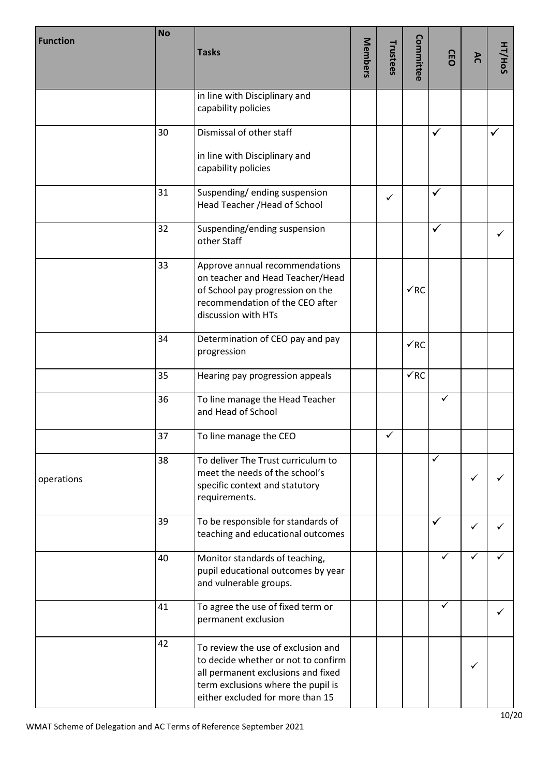| <b>Function</b> | <b>No</b> | <b>Tasks</b>                                                                                                                                                                              | Members | Trustees     | Committee       | <b>GEO</b>   | AC | HT/HoS |
|-----------------|-----------|-------------------------------------------------------------------------------------------------------------------------------------------------------------------------------------------|---------|--------------|-----------------|--------------|----|--------|
|                 |           | in line with Disciplinary and<br>capability policies                                                                                                                                      |         |              |                 |              |    |        |
|                 | 30        | Dismissal of other staff                                                                                                                                                                  |         |              |                 | ✓            |    |        |
|                 |           | in line with Disciplinary and<br>capability policies                                                                                                                                      |         |              |                 |              |    |        |
|                 | 31        | Suspending/ending suspension<br>Head Teacher / Head of School                                                                                                                             |         | $\checkmark$ |                 | ✓            |    |        |
|                 | 32        | Suspending/ending suspension<br>other Staff                                                                                                                                               |         |              |                 | $\checkmark$ |    | ✓      |
|                 | 33        | Approve annual recommendations<br>on teacher and Head Teacher/Head<br>of School pay progression on the<br>recommendation of the CEO after<br>discussion with HTs                          |         |              | $\sqrt{RC}$     |              |    |        |
|                 | 34        | Determination of CEO pay and pay<br>progression                                                                                                                                           |         |              | $\checkmark$ RC |              |    |        |
|                 | 35        | Hearing pay progression appeals                                                                                                                                                           |         |              | $\sqrt{RC}$     |              |    |        |
|                 | 36        | To line manage the Head Teacher<br>and Head of School                                                                                                                                     |         |              |                 | ✓            |    |        |
|                 | 37        | To line manage the CEO                                                                                                                                                                    |         | $\checkmark$ |                 |              |    |        |
| operations      | 38        | To deliver The Trust curriculum to<br>meet the needs of the school's<br>specific context and statutory<br>requirements.                                                                   |         |              |                 | ✓            | ✓  |        |
|                 | 39        | To be responsible for standards of<br>teaching and educational outcomes                                                                                                                   |         |              |                 | ✓            | ✓  |        |
|                 | 40        | Monitor standards of teaching,<br>pupil educational outcomes by year<br>and vulnerable groups.                                                                                            |         |              |                 | ✓            | ✓  |        |
|                 | 41        | To agree the use of fixed term or<br>permanent exclusion                                                                                                                                  |         |              |                 | ✓            |    | ✓      |
|                 | 42        | To review the use of exclusion and<br>to decide whether or not to confirm<br>all permanent exclusions and fixed<br>term exclusions where the pupil is<br>either excluded for more than 15 |         |              |                 |              | ✓  |        |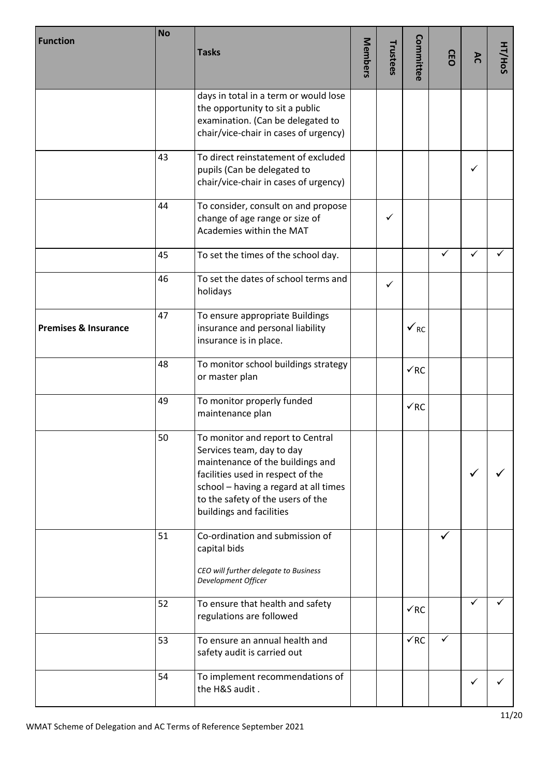| <b>Function</b>                 | <b>No</b> | <b>Tasks</b>                                                                                                                                                                                                                                     | Members | Trustees     | Committee                  | GEO | AC | HT/HoS |
|---------------------------------|-----------|--------------------------------------------------------------------------------------------------------------------------------------------------------------------------------------------------------------------------------------------------|---------|--------------|----------------------------|-----|----|--------|
|                                 |           | days in total in a term or would lose<br>the opportunity to sit a public<br>examination. (Can be delegated to<br>chair/vice-chair in cases of urgency)                                                                                           |         |              |                            |     |    |        |
|                                 | 43        | To direct reinstatement of excluded<br>pupils (Can be delegated to<br>chair/vice-chair in cases of urgency)                                                                                                                                      |         |              |                            |     | ✓  |        |
|                                 | 44        | To consider, consult on and propose<br>change of age range or size of<br>Academies within the MAT                                                                                                                                                |         | $\checkmark$ |                            |     |    |        |
|                                 | 45        | To set the times of the school day.                                                                                                                                                                                                              |         |              |                            | ✓   | ✓  |        |
|                                 | 46        | To set the dates of school terms and<br>holidays                                                                                                                                                                                                 |         | ✓            |                            |     |    |        |
| <b>Premises &amp; Insurance</b> | 47        | To ensure appropriate Buildings<br>insurance and personal liability<br>insurance is in place.                                                                                                                                                    |         |              | $\checkmark$ <sub>RC</sub> |     |    |        |
|                                 | 48        | To monitor school buildings strategy<br>or master plan                                                                                                                                                                                           |         |              | $\sqrt{RC}$                |     |    |        |
|                                 | 49        | To monitor properly funded<br>maintenance plan                                                                                                                                                                                                   |         |              | $\sqrt{RC}$                |     |    |        |
|                                 | 50        | To monitor and report to Central<br>Services team, day to day<br>maintenance of the buildings and<br>facilities used in respect of the<br>school - having a regard at all times<br>to the safety of the users of the<br>buildings and facilities |         |              |                            |     | ✓  |        |
|                                 | 51        | Co-ordination and submission of<br>capital bids<br>CEO will further delegate to Business<br>Development Officer                                                                                                                                  |         |              |                            |     |    |        |
|                                 | 52        | To ensure that health and safety<br>regulations are followed                                                                                                                                                                                     |         |              | $\checkmark$ RC            |     | ✓  |        |
|                                 | 53        | To ensure an annual health and<br>safety audit is carried out                                                                                                                                                                                    |         |              | $\sqrt{RC}$                | ✓   |    |        |
|                                 | 54        | To implement recommendations of<br>the H&S audit.                                                                                                                                                                                                |         |              |                            |     | ✓  |        |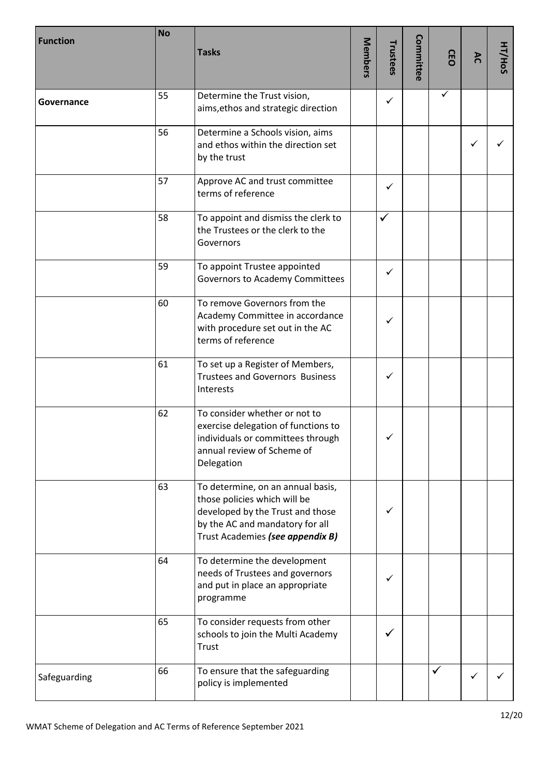| <b>Function</b> | <b>No</b> | <b>Tasks</b>                                                                                                                                                                 | Members | Trustees     | Committee | GEO | λC | HT/HoS |
|-----------------|-----------|------------------------------------------------------------------------------------------------------------------------------------------------------------------------------|---------|--------------|-----------|-----|----|--------|
| Governance      | 55        | Determine the Trust vision,<br>aims, ethos and strategic direction                                                                                                           |         | $\checkmark$ |           | ✓   |    |        |
|                 | 56        | Determine a Schools vision, aims<br>and ethos within the direction set<br>by the trust                                                                                       |         |              |           |     | ✓  |        |
|                 | 57        | Approve AC and trust committee<br>terms of reference                                                                                                                         |         | ✓            |           |     |    |        |
|                 | 58        | To appoint and dismiss the clerk to<br>the Trustees or the clerk to the<br>Governors                                                                                         |         | ✓            |           |     |    |        |
|                 | 59        | To appoint Trustee appointed<br>Governors to Academy Committees                                                                                                              |         | ✓            |           |     |    |        |
|                 | 60        | To remove Governors from the<br>Academy Committee in accordance<br>with procedure set out in the AC<br>terms of reference                                                    |         | ✓            |           |     |    |        |
|                 | 61        | To set up a Register of Members,<br><b>Trustees and Governors Business</b><br>Interests                                                                                      |         | ✓            |           |     |    |        |
|                 | 62        | To consider whether or not to<br>exercise delegation of functions to<br>individuals or committees through<br>annual review of Scheme of<br>Delegation                        |         | ✓            |           |     |    |        |
|                 | 63        | To determine, on an annual basis,<br>those policies which will be<br>developed by the Trust and those<br>by the AC and mandatory for all<br>Trust Academies (see appendix B) |         | ✓            |           |     |    |        |
|                 | 64        | To determine the development<br>needs of Trustees and governors<br>and put in place an appropriate<br>programme                                                              |         | ✓            |           |     |    |        |
|                 | 65        | To consider requests from other<br>schools to join the Multi Academy<br>Trust                                                                                                |         | ✓            |           |     |    |        |
| Safeguarding    | 66        | To ensure that the safeguarding<br>policy is implemented                                                                                                                     |         |              |           | ✓   | ✓  |        |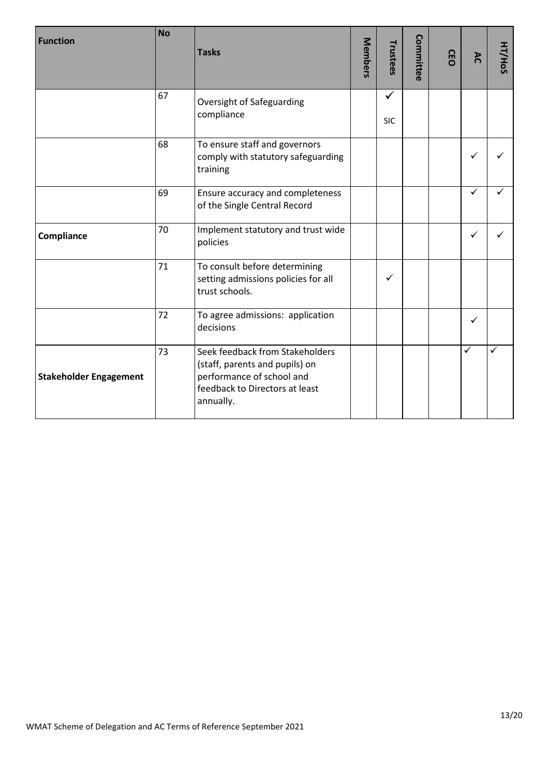| <b>Function</b>               | <b>No</b> | <b>Tasks</b>                                                                                                                                  | Members | Trustees        | Committee | GEO | λC           | HT/HoS |
|-------------------------------|-----------|-----------------------------------------------------------------------------------------------------------------------------------------------|---------|-----------------|-----------|-----|--------------|--------|
|                               | 67        | Oversight of Safeguarding<br>compliance                                                                                                       |         | ✓<br><b>SIC</b> |           |     |              |        |
|                               | 68        | To ensure staff and governors<br>comply with statutory safeguarding<br>training                                                               |         |                 |           |     | ✓            |        |
|                               | 69        | Ensure accuracy and completeness<br>of the Single Central Record                                                                              |         |                 |           |     | ✓            |        |
| Compliance                    | 70        | Implement statutory and trust wide<br>policies                                                                                                |         |                 |           |     | ✓            |        |
|                               | 71        | To consult before determining<br>setting admissions policies for all<br>trust schools.                                                        |         | $\checkmark$    |           |     |              |        |
|                               | 72        | To agree admissions: application<br>decisions                                                                                                 |         |                 |           |     | ✓            |        |
| <b>Stakeholder Engagement</b> | 73        | Seek feedback from Stakeholders<br>(staff, parents and pupils) on<br>performance of school and<br>feedback to Directors at least<br>annually. |         |                 |           |     | $\checkmark$ | ✓      |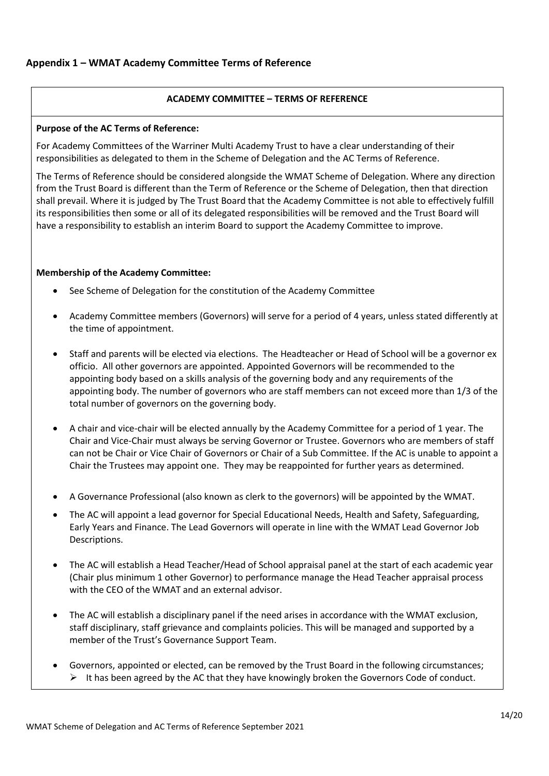# **Appendix 1 – WMAT Academy Committee Terms of Reference**

#### **ACADEMY COMMITTEE – TERMS OF REFERENCE**

## **Purpose of the AC Terms of Reference:**

For Academy Committees of the Warriner Multi Academy Trust to have a clear understanding of their responsibilities as delegated to them in the Scheme of Delegation and the AC Terms of Reference.

The Terms of Reference should be considered alongside the WMAT Scheme of Delegation. Where any direction from the Trust Board is different than the Term of Reference or the Scheme of Delegation, then that direction shall prevail. Where it is judged by The Trust Board that the Academy Committee is not able to effectively fulfill its responsibilities then some or all of its delegated responsibilities will be removed and the Trust Board will have a responsibility to establish an interim Board to support the Academy Committee to improve.

## **Membership of the Academy Committee:**

- See Scheme of Delegation for the constitution of the Academy Committee
- Academy Committee members (Governors) will serve for a period of 4 years, unless stated differently at the time of appointment.
- Staff and parents will be elected via elections. The Headteacher or Head of School will be a governor ex officio. All other governors are appointed. Appointed Governors will be recommended to the appointing body based on a skills analysis of the governing body and any requirements of the appointing body. The number of governors who are staff members can not exceed more than 1/3 of the total number of governors on the governing body.
- A chair and vice-chair will be elected annually by the Academy Committee for a period of 1 year. The Chair and Vice-Chair must always be serving Governor or Trustee. Governors who are members of staff can not be Chair or Vice Chair of Governors or Chair of a Sub Committee. If the AC is unable to appoint a Chair the Trustees may appoint one. They may be reappointed for further years as determined.
- A Governance Professional (also known as clerk to the governors) will be appointed by the WMAT.
- The AC will appoint a lead governor for Special Educational Needs, Health and Safety, Safeguarding, Early Years and Finance. The Lead Governors will operate in line with the WMAT Lead Governor Job Descriptions.
- The AC will establish a Head Teacher/Head of School appraisal panel at the start of each academic year (Chair plus minimum 1 other Governor) to performance manage the Head Teacher appraisal process with the CEO of the WMAT and an external advisor.
- The AC will establish a disciplinary panel if the need arises in accordance with the WMAT exclusion, staff disciplinary, staff grievance and complaints policies. This will be managed and supported by a member of the Trust's Governance Support Team.
- Governors, appointed or elected, can be removed by the Trust Board in the following circumstances;  $\triangleright$  It has been agreed by the AC that they have knowingly broken the Governors Code of conduct.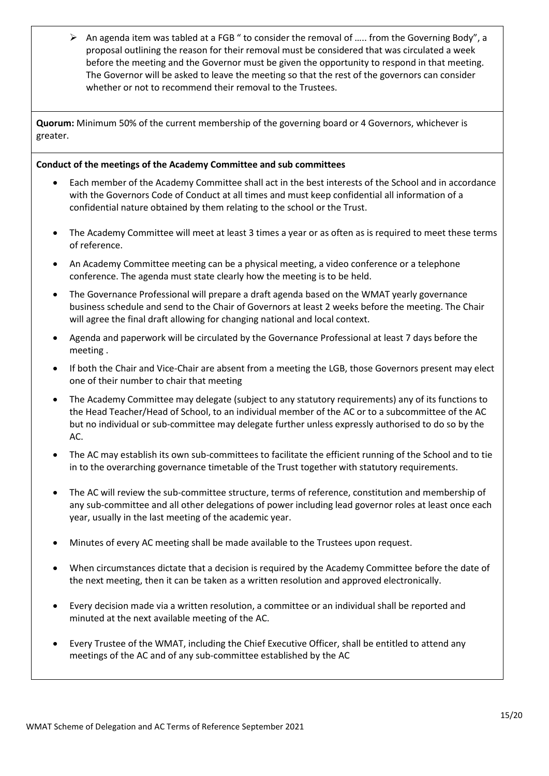$\triangleright$  An agenda item was tabled at a FGB " to consider the removal of ..... from the Governing Body", a proposal outlining the reason for their removal must be considered that was circulated a week before the meeting and the Governor must be given the opportunity to respond in that meeting. The Governor will be asked to leave the meeting so that the rest of the governors can consider whether or not to recommend their removal to the Trustees.

**Quorum:** Minimum 50% of the current membership of the governing board or 4 Governors, whichever is greater.

# **Conduct of the meetings of the Academy Committee and sub committees**

- Each member of the Academy Committee shall act in the best interests of the School and in accordance with the Governors Code of Conduct at all times and must keep confidential all information of a confidential nature obtained by them relating to the school or the Trust.
- The Academy Committee will meet at least 3 times a year or as often as is required to meet these terms of reference.
- An Academy Committee meeting can be a physical meeting, a video conference or a telephone conference. The agenda must state clearly how the meeting is to be held.
- The Governance Professional will prepare a draft agenda based on the WMAT yearly governance business schedule and send to the Chair of Governors at least 2 weeks before the meeting. The Chair will agree the final draft allowing for changing national and local context.
- Agenda and paperwork will be circulated by the Governance Professional at least 7 days before the meeting .
- If both the Chair and Vice-Chair are absent from a meeting the LGB, those Governors present may elect one of their number to chair that meeting
- The Academy Committee may delegate (subject to any statutory requirements) any of its functions to the Head Teacher/Head of School, to an individual member of the AC or to a subcommittee of the AC but no individual or sub-committee may delegate further unless expressly authorised to do so by the AC.
- The AC may establish its own sub-committees to facilitate the efficient running of the School and to tie in to the overarching governance timetable of the Trust together with statutory requirements.
- The AC will review the sub-committee structure, terms of reference, constitution and membership of any sub-committee and all other delegations of power including lead governor roles at least once each year, usually in the last meeting of the academic year.
- Minutes of every AC meeting shall be made available to the Trustees upon request.
- When circumstances dictate that a decision is required by the Academy Committee before the date of the next meeting, then it can be taken as a written resolution and approved electronically.
- Every decision made via a written resolution, a committee or an individual shall be reported and minuted at the next available meeting of the AC.
- Every Trustee of the WMAT, including the Chief Executive Officer, shall be entitled to attend any meetings of the AC and of any sub-committee established by the AC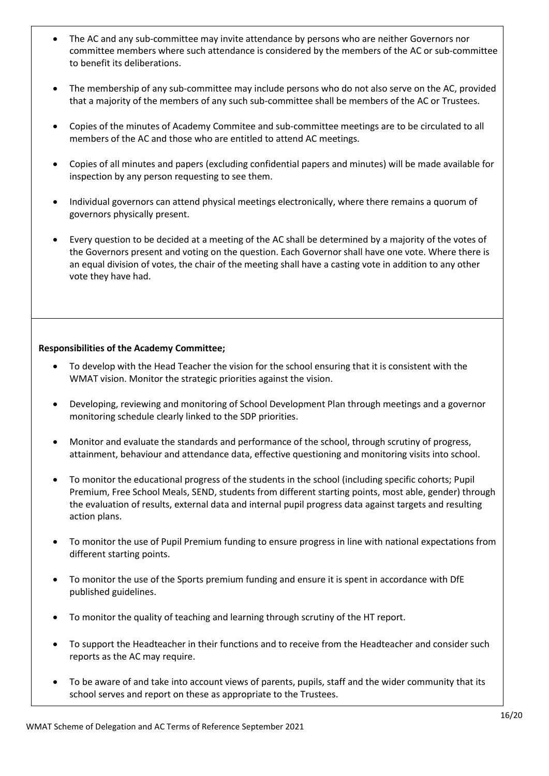- The AC and any sub-committee may invite attendance by persons who are neither Governors nor committee members where such attendance is considered by the members of the AC or sub-committee to benefit its deliberations.
- The membership of any sub-committee may include persons who do not also serve on the AC, provided that a majority of the members of any such sub-committee shall be members of the AC or Trustees.
- Copies of the minutes of Academy Commitee and sub-committee meetings are to be circulated to all members of the AC and those who are entitled to attend AC meetings.
- Copies of all minutes and papers (excluding confidential papers and minutes) will be made available for inspection by any person requesting to see them.
- Individual governors can attend physical meetings electronically, where there remains a quorum of governors physically present.
- Every question to be decided at a meeting of the AC shall be determined by a majority of the votes of the Governors present and voting on the question. Each Governor shall have one vote. Where there is an equal division of votes, the chair of the meeting shall have a casting vote in addition to any other vote they have had.

#### **Responsibilities of the Academy Committee;**

- To develop with the Head Teacher the vision for the school ensuring that it is consistent with the WMAT vision. Monitor the strategic priorities against the vision.
- Developing, reviewing and monitoring of School Development Plan through meetings and a governor monitoring schedule clearly linked to the SDP priorities.
- Monitor and evaluate the standards and performance of the school, through scrutiny of progress, attainment, behaviour and attendance data, effective questioning and monitoring visits into school.
- To monitor the educational progress of the students in the school (including specific cohorts; Pupil Premium, Free School Meals, SEND, students from different starting points, most able, gender) through the evaluation of results, external data and internal pupil progress data against targets and resulting action plans.
- To monitor the use of Pupil Premium funding to ensure progress in line with national expectations from different starting points.
- To monitor the use of the Sports premium funding and ensure it is spent in accordance with DfE published guidelines.
- To monitor the quality of teaching and learning through scrutiny of the HT report.
- To support the Headteacher in their functions and to receive from the Headteacher and consider such reports as the AC may require.
- To be aware of and take into account views of parents, pupils, staff and the wider community that its school serves and report on these as appropriate to the Trustees.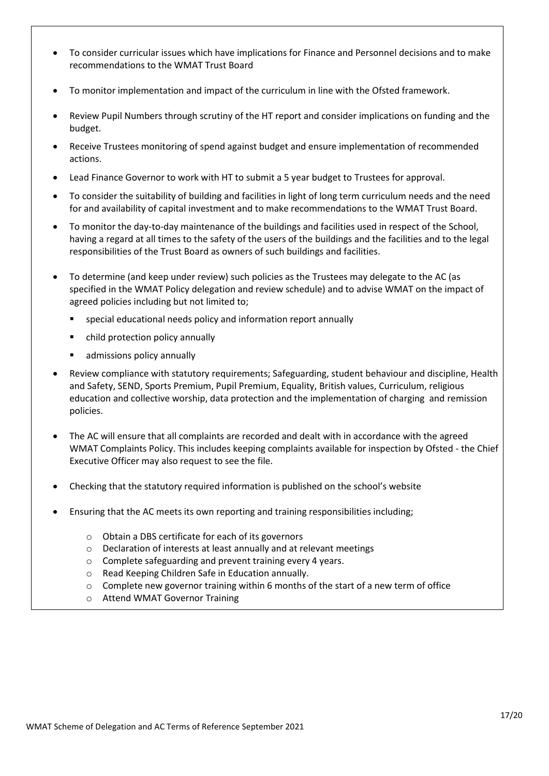- To consider curricular issues which have implications for Finance and Personnel decisions and to make recommendations to the WMAT Trust Board
- To monitor implementation and impact of the curriculum in line with the Ofsted framework.
- Review Pupil Numbers through scrutiny of the HT report and consider implications on funding and the budget.
- Receive Trustees monitoring of spend against budget and ensure implementation of recommended actions.
- Lead Finance Governor to work with HT to submit a 5 year budget to Trustees for approval.
- To consider the suitability of building and facilities in light of long term curriculum needs and the need for and availability of capital investment and to make recommendations to the WMAT Trust Board.
- To monitor the day-to-day maintenance of the buildings and facilities used in respect of the School, having a regard at all times to the safety of the users of the buildings and the facilities and to the legal responsibilities of the Trust Board as owners of such buildings and facilities.
- To determine (and keep under review) such policies as the Trustees may delegate to the AC (as specified in the WMAT Policy delegation and review schedule) and to advise WMAT on the impact of agreed policies including but not limited to;
	- special educational needs policy and information report annually
	- child protection policy annually
	- admissions policy annually
- Review compliance with statutory requirements; Safeguarding, student behaviour and discipline, Health and Safety, SEND, Sports Premium, Pupil Premium, Equality, British values, Curriculum, religious education and collective worship, data protection and the implementation of charging and remission policies.
- The AC will ensure that all complaints are recorded and dealt with in accordance with the agreed WMAT Complaints Policy. This includes keeping complaints available for inspection by Ofsted - the Chief Executive Officer may also request to see the file.
- Checking that the statutory required information is published on the school's website
- Ensuring that the AC meets its own reporting and training responsibilities including;
	- o Obtain a DBS certificate for each of its governors
	- o Declaration of interests at least annually and at relevant meetings
	- o Complete safeguarding and prevent training every 4 years.
	- o Read Keeping Children Safe in Education annually.
	- $\circ$  Complete new governor training within 6 months of the start of a new term of office
	- o Attend WMAT Governor Training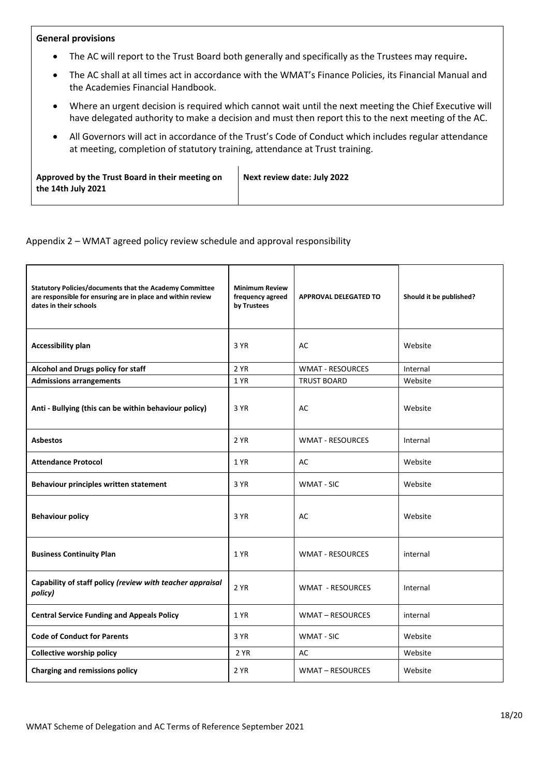## **General provisions**

- The AC will report to the Trust Board both generally and specifically as the Trustees may require**.**
- The AC shall at all times act in accordance with the WMAT's Finance Policies, its Financial Manual and the Academies Financial Handbook.
- Where an urgent decision is required which cannot wait until the next meeting the Chief Executive will have delegated authority to make a decision and must then report this to the next meeting of the AC.
- All Governors will act in accordance of the Trust's Code of Conduct which includes regular attendance at meeting, completion of statutory training, attendance at Trust training.

| Approved by the Trust Board in their meeting on | Next review date: July 2022 |
|-------------------------------------------------|-----------------------------|
| the 14th July 2021                              |                             |
|                                                 |                             |

Appendix 2 – WMAT agreed policy review schedule and approval responsibility

| <b>Statutory Policies/documents that the Academy Committee</b><br>are responsible for ensuring are in place and within review<br>dates in their schools | <b>Minimum Review</b><br>frequency agreed<br>by Trustees | <b>APPROVAL DELEGATED TO</b> | Should it be published? |
|---------------------------------------------------------------------------------------------------------------------------------------------------------|----------------------------------------------------------|------------------------------|-------------------------|
| <b>Accessibility plan</b>                                                                                                                               | 3 YR                                                     | AC                           | Website                 |
| Alcohol and Drugs policy for staff                                                                                                                      | 2 YR                                                     | <b>WMAT - RESOURCES</b>      | Internal                |
| <b>Admissions arrangements</b>                                                                                                                          | 1 YR                                                     | <b>TRUST BOARD</b>           | Website                 |
| Anti - Bullying (this can be within behaviour policy)                                                                                                   | 3 YR                                                     | AC                           | Website                 |
| <b>Asbestos</b>                                                                                                                                         | 2 YR                                                     | <b>WMAT - RESOURCES</b>      | Internal                |
| <b>Attendance Protocol</b>                                                                                                                              | 1 YR                                                     | AC                           | Website                 |
| Behaviour principles written statement                                                                                                                  | 3 YR                                                     | <b>WMAT - SIC</b>            | Website                 |
| <b>Behaviour policy</b>                                                                                                                                 | 3 YR                                                     | AC                           | Website                 |
| <b>Business Continuity Plan</b>                                                                                                                         | 1 YR                                                     | <b>WMAT - RESOURCES</b>      | internal                |
| Capability of staff policy (review with teacher appraisal<br>policy)                                                                                    | 2 YR                                                     | <b>WMAT - RESOURCES</b>      | Internal                |
| <b>Central Service Funding and Appeals Policy</b>                                                                                                       | 1 YR                                                     | WMAT - RESOURCES             | internal                |
| <b>Code of Conduct for Parents</b>                                                                                                                      | 3 YR                                                     | <b>WMAT - SIC</b>            | Website                 |
| <b>Collective worship policy</b>                                                                                                                        | 2 YR                                                     | AC                           | Website                 |
| Charging and remissions policy                                                                                                                          | 2 YR                                                     | <b>WMAT-RESOURCES</b>        | Website                 |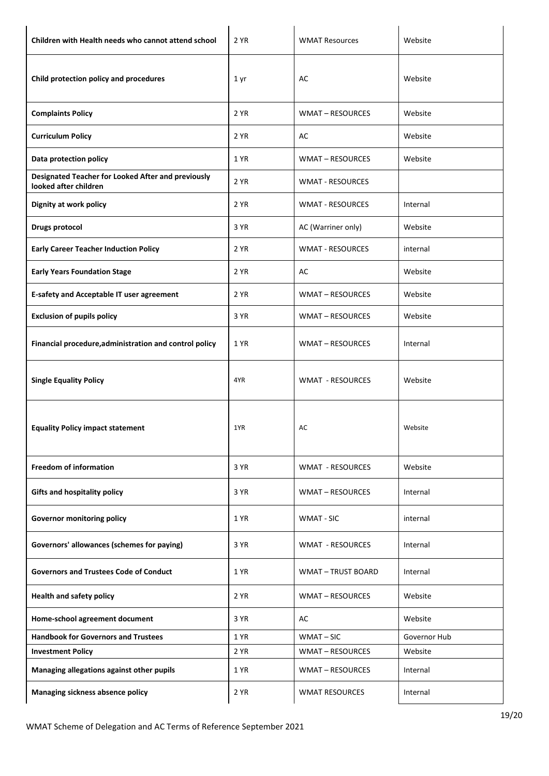| Children with Health needs who cannot attend school                         | 2 YR | <b>WMAT Resources</b>   | Website      |
|-----------------------------------------------------------------------------|------|-------------------------|--------------|
| Child protection policy and procedures                                      | 1 yr | AC                      | Website      |
| <b>Complaints Policy</b>                                                    | 2 YR | <b>WMAT-RESOURCES</b>   | Website      |
| <b>Curriculum Policy</b>                                                    | 2 YR | AC                      | Website      |
| Data protection policy                                                      | 1 YR | <b>WMAT-RESOURCES</b>   | Website      |
| Designated Teacher for Looked After and previously<br>looked after children | 2 YR | <b>WMAT - RESOURCES</b> |              |
| Dignity at work policy                                                      | 2 YR | <b>WMAT - RESOURCES</b> | Internal     |
| <b>Drugs protocol</b>                                                       | 3 YR | AC (Warriner only)      | Website      |
| <b>Early Career Teacher Induction Policy</b>                                | 2 YR | <b>WMAT - RESOURCES</b> | internal     |
| <b>Early Years Foundation Stage</b>                                         | 2 YR | AC                      | Website      |
| <b>E-safety and Acceptable IT user agreement</b>                            | 2 YR | <b>WMAT-RESOURCES</b>   | Website      |
| <b>Exclusion of pupils policy</b>                                           | 3 YR | <b>WMAT-RESOURCES</b>   | Website      |
| Financial procedure, administration and control policy                      | 1 YR | <b>WMAT-RESOURCES</b>   | Internal     |
| <b>Single Equality Policy</b>                                               | 4YR  | <b>WMAT - RESOURCES</b> | Website      |
| <b>Equality Policy impact statement</b>                                     | 1YR  | AC                      | Website      |
| <b>Freedom of information</b>                                               | 3 YR | <b>WMAT - RESOURCES</b> | Website      |
| <b>Gifts and hospitality policy</b>                                         | 3 YR | <b>WMAT-RESOURCES</b>   | Internal     |
| <b>Governor monitoring policy</b>                                           | 1 YR | <b>WMAT - SIC</b>       | internal     |
| Governors' allowances (schemes for paying)                                  | 3 YR | <b>WMAT - RESOURCES</b> | Internal     |
| <b>Governors and Trustees Code of Conduct</b>                               | 1 YR | <b>WMAT-TRUST BOARD</b> | Internal     |
| <b>Health and safety policy</b>                                             | 2 YR | WMAT - RESOURCES        | Website      |
| Home-school agreement document                                              | 3 YR | AC                      | Website      |
| <b>Handbook for Governors and Trustees</b>                                  | 1 YR | WMAT-SIC                | Governor Hub |
| <b>Investment Policy</b>                                                    | 2 YR | <b>WMAT-RESOURCES</b>   | Website      |
| Managing allegations against other pupils                                   | 1 YR | <b>WMAT-RESOURCES</b>   | Internal     |
| Managing sickness absence policy                                            | 2 YR | <b>WMAT RESOURCES</b>   | Internal     |